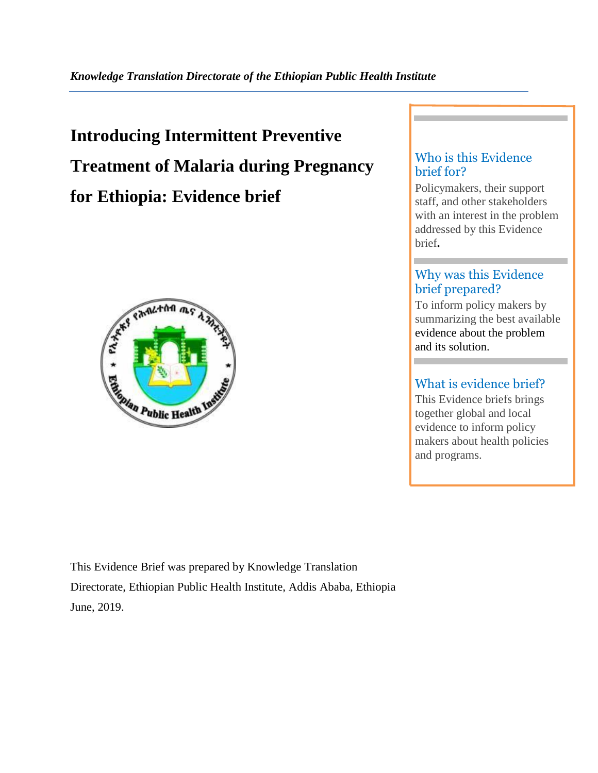# **Introducing Intermittent Preventive Treatment of Malaria during Pregnancy for Ethiopia: Evidence brief**



# Who is this Evidence brief for?

Policymakers, their support staff, and other stakeholders with an interest in the problem addressed by this Evidence brief**.**

# Why was this Evidence brief prepared?

To inform policy makers by summarizing the best available evidence about the problem and its solution.

# What is evidence brief?

This Evidence briefs brings together global and local evidence to inform policy makers about health policies and programs.

This Evidence Brief was prepared by Knowledge Translation Directorate, Ethiopian Public Health Institute, Addis Ababa, Ethiopia June, 2019.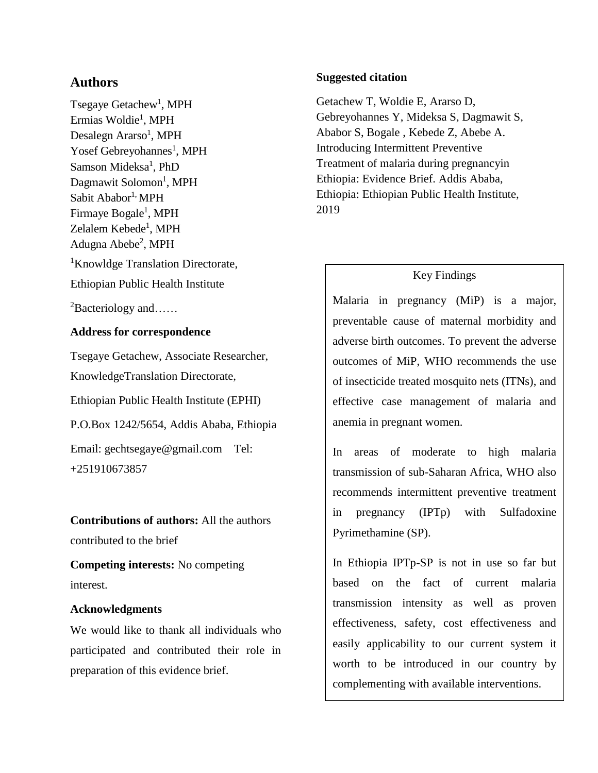# **Authors**

Tsegaye Getachew<sup>1</sup>, MPH Ermias Woldie<sup>1</sup>, MPH Desalegn Ararso<sup>1</sup>, MPH Yosef Gebreyohannes<sup>1</sup>, MPH Samson Mideksa<sup>1</sup>, PhD Dagmawit Solomon<sup>1</sup>, MPH Sabit Ababor<sup>1,</sup> MPH Firmaye Bogale<sup>1</sup>, MPH Zelalem Kebede<sup>1</sup>, MPH Adugna Abebe<sup>2</sup>, MPH <sup>1</sup>Knowldge Translation Directorate, Ethiopian Public Health Institute

<sup>2</sup>Bacteriology and……

# **Address for correspondence**

Tsegaye Getachew, Associate Researcher, KnowledgeTranslation Directorate, Ethiopian Public Health Institute (EPHI) P.O.Box 1242/5654, Addis Ababa, Ethiopia Email: [gechtsegaye@gmail.com](mailto:gechtsegaye@gmail.com) Tel: +251910673857

**Contributions of authors:** All the authors contributed to the brief

**Competing interests:** No competing interest.

# **Acknowledgments**

We would like to thank all individuals who participated and contributed their role in preparation of this evidence brief.

## **Suggested citation**

Getachew T, Woldie E, Ararso D, Gebreyohannes Y, Mideksa S, Dagmawit S, Ababor S, Bogale , Kebede Z, Abebe A. Introducing Intermittent Preventive Treatment of malaria during pregnancyin Ethiopia: Evidence Brief. Addis Ababa, Ethiopia: Ethiopian Public Health Institute, 2019

# Key Findings

Malaria in pregnancy (MiP) is a major, preventable cause of maternal morbidity and adverse birth outcomes. To prevent the adverse outcomes of MiP, WHO recommends the use of insecticide treated mosquito nets (ITNs), and effective case management of malaria and anemia in pregnant women.

In areas of moderate to high malaria transmission of sub-Saharan Africa, WHO also recommends intermittent preventive treatment in pregnancy (IPTp) with Sulfadoxine Pyrimethamine (SP).

In Ethiopia IPTp-SP is not in use so far but based on the fact of current malaria transmission intensity as well as proven effectiveness, safety, cost effectiveness and easily applicability to our current system it worth to be introduced in our country by complementing with available interventions.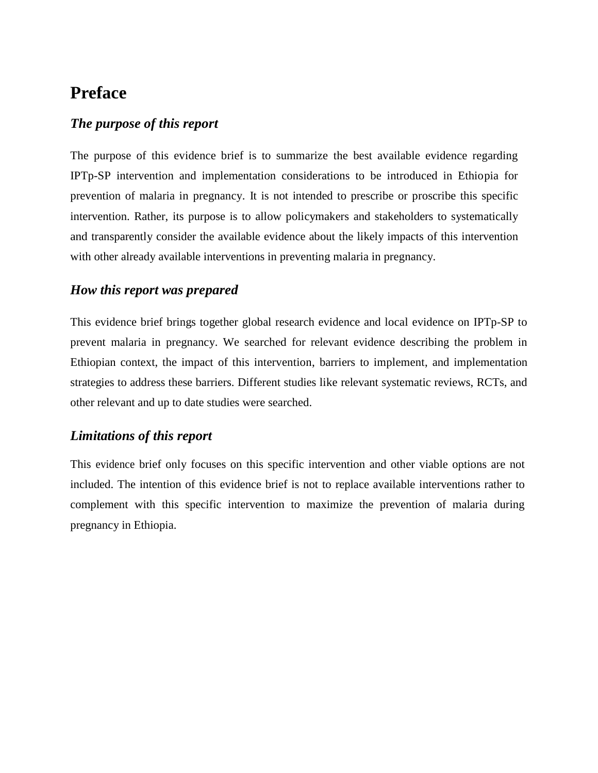# **Preface**

# *The purpose of this report*

The purpose of this evidence brief is to summarize the best available evidence regarding IPTp-SP intervention and implementation considerations to be introduced in Ethiopia for prevention of malaria in pregnancy. It is not intended to prescribe or proscribe this specific intervention. Rather, its purpose is to allow policymakers and stakeholders to systematically and transparently consider the available evidence about the likely impacts of this intervention with other already available interventions in preventing malaria in pregnancy.

# *How this report was prepared*

This evidence brief brings together global research evidence and local evidence on IPTp-SP to prevent malaria in pregnancy. We searched for relevant evidence describing the problem in Ethiopian context, the impact of this intervention, barriers to implement, and implementation strategies to address these barriers. Different studies like relevant systematic reviews, RCTs, and other relevant and up to date studies were searched.

# *Limitations of this report*

This evidence brief only focuses on this specific intervention and other viable options are not included. The intention of this evidence brief is not to replace available interventions rather to complement with this specific intervention to maximize the prevention of malaria during pregnancy in Ethiopia.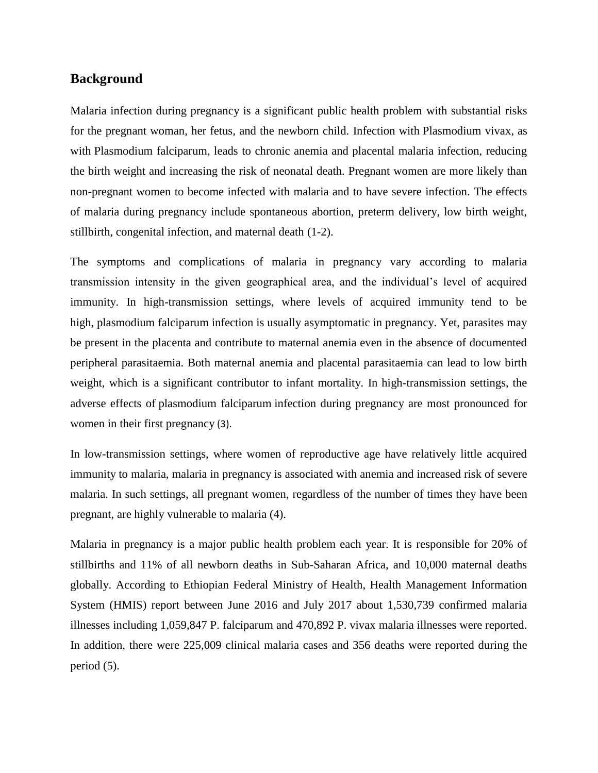## **Background**

Malaria infection during pregnancy is a significant public health problem with substantial risks for the pregnant woman, her fetus, and the newborn child. Infection with Plasmodium vivax, as with Plasmodium falciparum, leads to chronic anemia and placental malaria infection, reducing the birth weight and increasing the risk of neonatal death. Pregnant women are more likely than non-pregnant women to become infected with malaria and to have severe infection. The effects of malaria during pregnancy include spontaneous abortion, preterm delivery, low birth weight, stillbirth, congenital infection, and maternal death (1-2).

The symptoms and complications of malaria in pregnancy vary according to malaria transmission intensity in the given geographical area, and the individual's level of acquired immunity. In high-transmission settings, where levels of acquired immunity tend to be high, plasmodium falciparum infection is usually asymptomatic in pregnancy. Yet, parasites may be present in the placenta and contribute to maternal anemia even in the absence of documented peripheral parasitaemia. Both maternal anemia and placental parasitaemia can lead to low birth weight, which is a significant contributor to infant mortality. In high-transmission settings, the adverse effects of plasmodium falciparum infection during pregnancy are most pronounced for women in their first pregnancy (3).

In low-transmission settings, where women of reproductive age have relatively little acquired immunity to malaria, malaria in pregnancy is associated with anemia and increased risk of severe malaria. In such settings, all pregnant women, regardless of the number of times they have been pregnant, are highly vulnerable to malaria (4).

Malaria in pregnancy is a major public health problem each year. It is responsible for 20% of stillbirths and 11% of all newborn deaths in Sub-Saharan Africa, and 10,000 maternal deaths globally. According to Ethiopian Federal Ministry of Health, Health Management Information System (HMIS) report between June 2016 and July 2017 about 1,530,739 confirmed malaria illnesses including 1,059,847 P. falciparum and 470,892 P. vivax malaria illnesses were reported. In addition, there were 225,009 clinical malaria cases and 356 deaths were reported during the period (5).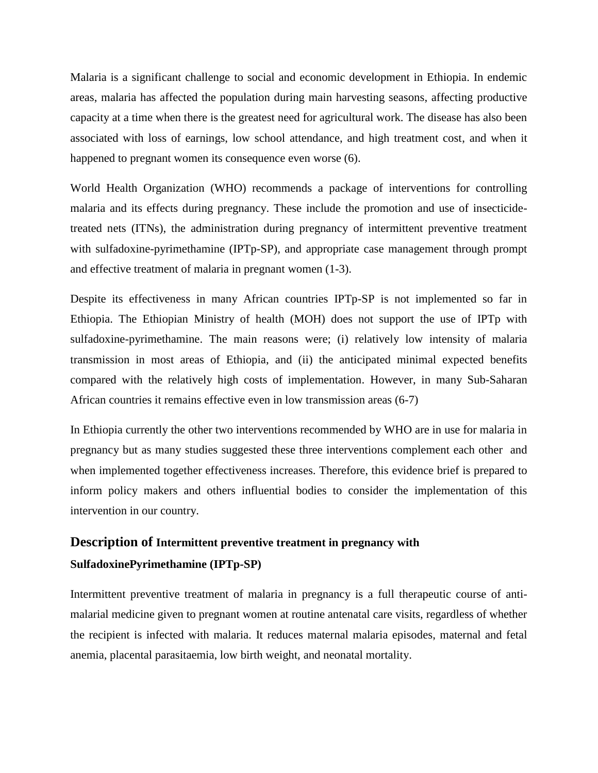Malaria is a significant challenge to social and economic development in Ethiopia. In endemic areas, malaria has affected the population during main harvesting seasons, affecting productive capacity at a time when there is the greatest need for agricultural work. The disease has also been associated with loss of earnings, low school attendance, and high treatment cost, and when it happened to pregnant women its consequence even worse (6).

World Health Organization (WHO) recommends a package of interventions for controlling malaria and its effects during pregnancy. These include the promotion and use of insecticidetreated nets (ITNs), the administration during pregnancy of intermittent preventive treatment with sulfadoxine-pyrimethamine (IPTp-SP), and appropriate case management through prompt and effective treatment of malaria in pregnant women (1-3).

Despite its effectiveness in many African countries IPTp-SP is not implemented so far in Ethiopia. The Ethiopian Ministry of health (MOH) does not support the use of IPTp with sulfadoxine-pyrimethamine. The main reasons were; (i) relatively low intensity of malaria transmission in most areas of Ethiopia, and (ii) the anticipated minimal expected benefits compared with the relatively high costs of implementation. However, in many Sub-Saharan African countries it remains effective even in low transmission areas (6-7)

In Ethiopia currently the other two interventions recommended by WHO are in use for malaria in pregnancy but as many studies suggested these three interventions complement each other and when implemented together effectiveness increases. Therefore, this evidence brief is prepared to inform policy makers and others influential bodies to consider the implementation of this intervention in our country.

# **Description of Intermittent preventive treatment in pregnancy with SulfadoxinePyrimethamine (IPTp-SP)**

Intermittent preventive treatment of malaria in pregnancy is a full therapeutic course of antimalarial medicine given to pregnant women at routine antenatal care visits, regardless of whether the recipient is infected with malaria. It reduces maternal malaria episodes, maternal and fetal anemia, placental parasitaemia, low birth weight, and neonatal mortality.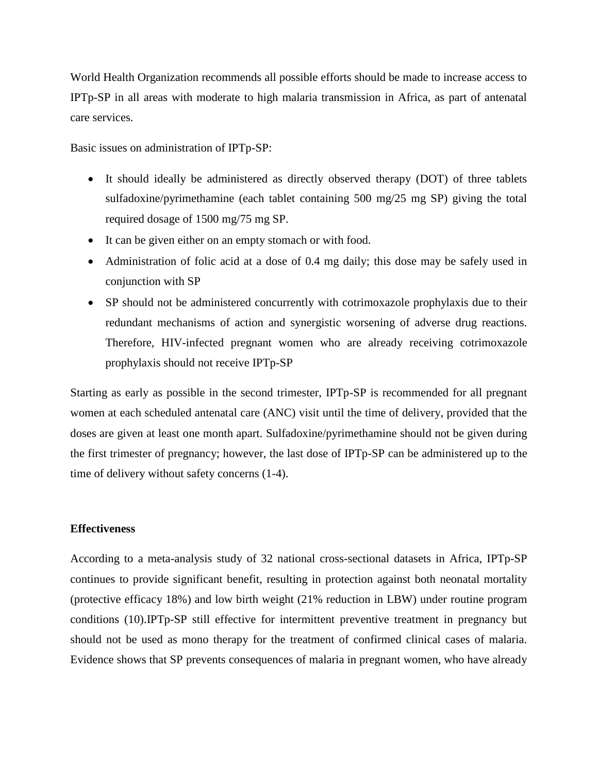World Health Organization recommends all possible efforts should be made to increase access to IPTp-SP in all areas with moderate to high malaria transmission in Africa, as part of antenatal care services.

Basic issues on administration of IPTp-SP:

- It should ideally be administered as directly observed therapy (DOT) of three tablets sulfadoxine/pyrimethamine (each tablet containing 500 mg/25 mg SP) giving the total required dosage of 1500 mg/75 mg SP.
- It can be given either on an empty stomach or with food.
- Administration of folic acid at a dose of 0.4 mg daily; this dose may be safely used in conjunction with SP
- SP should not be administered concurrently with cotrimoxazole prophylaxis due to their redundant mechanisms of action and synergistic worsening of adverse drug reactions. Therefore, HIV-infected pregnant women who are already receiving cotrimoxazole prophylaxis should not receive IPTp-SP

Starting as early as possible in the second trimester, IPTp-SP is recommended for all pregnant women at each scheduled antenatal care (ANC) visit until the time of delivery, provided that the doses are given at least one month apart. Sulfadoxine/pyrimethamine should not be given during the first trimester of pregnancy; however, the last dose of IPTp-SP can be administered up to the time of delivery without safety concerns (1-4).

#### **Effectiveness**

According to a meta-analysis study of 32 national cross-sectional datasets in Africa, IPTp-SP continues to provide significant benefit, resulting in protection against both neonatal mortality (protective efficacy 18%) and low birth weight (21% reduction in LBW) under routine program conditions (10).IPTp-SP still effective for intermittent preventive treatment in pregnancy but should not be used as mono therapy for the treatment of confirmed clinical cases of malaria. Evidence shows that SP prevents consequences of malaria in pregnant women, who have already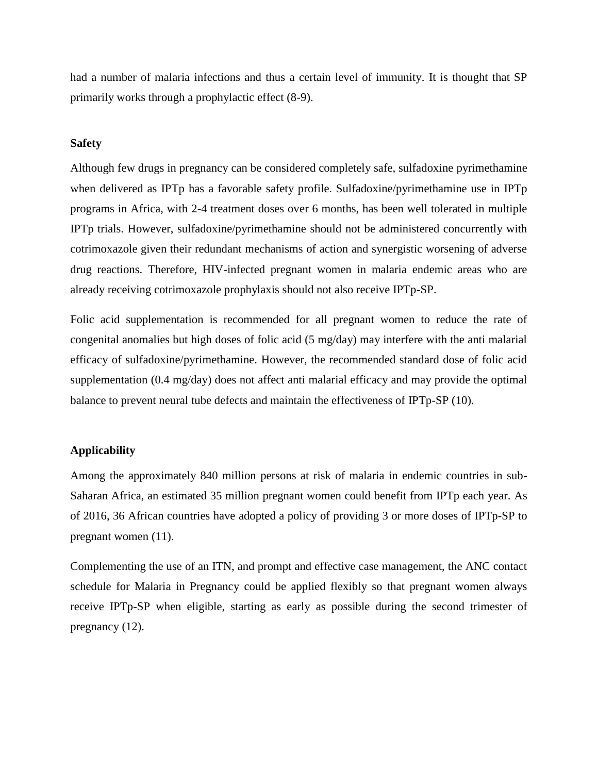had a number of malaria infections and thus a certain level of immunity. It is thought that SP primarily works through a prophylactic effect (8-9).

#### **Safety**

Although few drugs in pregnancy can be considered completely safe, sulfadoxine pyrimethamine when delivered as IPTp has a favorable safety profile. Sulfadoxine/pyrimethamine use in IPTp programs in Africa, with 2-4 treatment doses over 6 months, has been well tolerated in multiple IPTp trials. However, sulfadoxine/pyrimethamine should not be administered concurrently with cotrimoxazole given their redundant mechanisms of action and synergistic worsening of adverse drug reactions. Therefore, HIV-infected pregnant women in malaria endemic areas who are already receiving cotrimoxazole prophylaxis should not also receive IPTp-SP.

Folic acid supplementation is recommended for all pregnant women to reduce the rate of congenital anomalies but high doses of folic acid  $(5 \text{ mg/day})$  may interfere with the anti malarial efficacy of sulfadoxine/pyrimethamine. However, the recommended standard dose of folic acid supplementation (0.4 mg/day) does not affect anti malarial efficacy and may provide the optimal balance to prevent neural tube defects and maintain the effectiveness of IPTp-SP (10).

#### **Applicability**

Among the approximately 840 million persons at risk of malaria in endemic countries in sub-Saharan Africa, an estimated 35 million pregnant women could benefit from IPTp each year. As of 2016, 36 African countries have adopted a policy of providing 3 or more doses of IPTp-SP to pregnant women (11).

Complementing the use of an ITN, and prompt and effective case management, the ANC contact schedule for Malaria in Pregnancy could be applied flexibly so that pregnant women always receive IPTp-SP when eligible, starting as early as possible during the second trimester of pregnancy (12).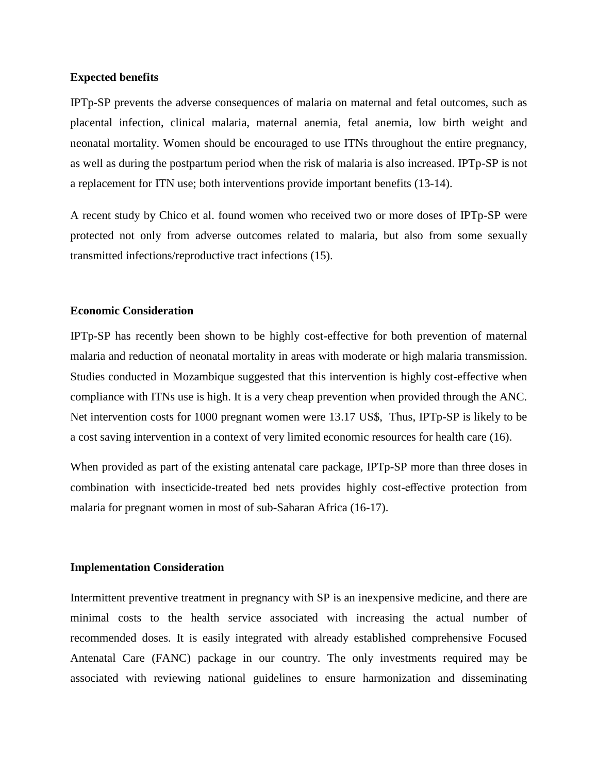#### **Expected benefits**

IPTp-SP prevents the adverse consequences of malaria on maternal and fetal outcomes, such as placental infection, clinical malaria, maternal anemia, fetal anemia, low birth weight and neonatal mortality. Women should be encouraged to use ITNs throughout the entire pregnancy, as well as during the postpartum period when the risk of malaria is also increased. IPTp-SP is not a replacement for ITN use; both interventions provide important benefits (13-14).

A recent study by Chico et al. found women who received two or more doses of IPTp-SP were protected not only from adverse outcomes related to malaria, but also from some sexually transmitted infections/reproductive tract infections (15).

#### **Economic Consideration**

IPTp-SP has recently been shown to be highly cost-effective for both prevention of maternal malaria and reduction of neonatal mortality in areas with moderate or high malaria transmission. Studies conducted in Mozambique suggested that this intervention is highly cost-effective when compliance with ITNs use is high. It is a very cheap prevention when provided through the ANC. Net intervention costs for 1000 pregnant women were 13.17 US\$, Thus, IPTp-SP is likely to be a cost saving intervention in a context of very limited economic resources for health care (16).

When provided as part of the existing antenatal care package, IPTp-SP more than three doses in combination with insecticide-treated bed nets provides highly cost-effective protection from malaria for pregnant women in most of sub-Saharan Africa (16-17).

#### **Implementation Consideration**

Intermittent preventive treatment in pregnancy with SP is an inexpensive medicine, and there are minimal costs to the health service associated with increasing the actual number of recommended doses. It is easily integrated with already established comprehensive Focused Antenatal Care (FANC) package in our country. The only investments required may be associated with reviewing national guidelines to ensure harmonization and disseminating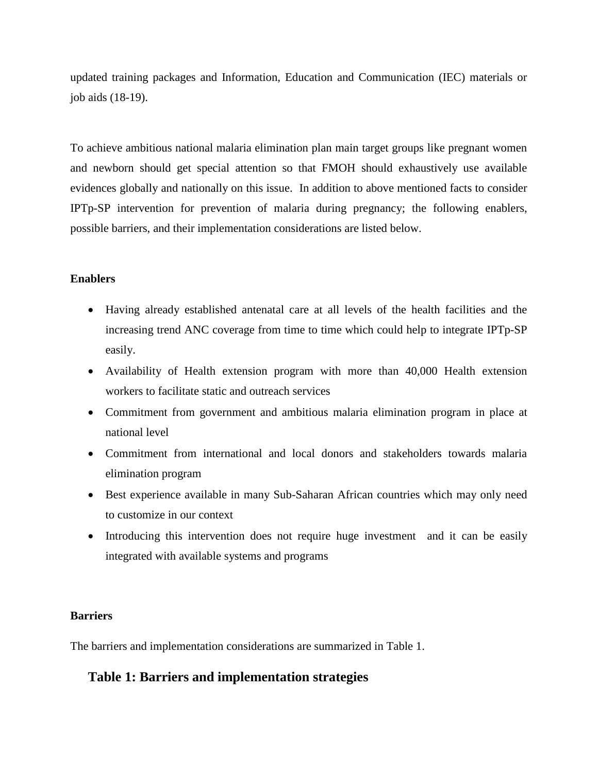updated training packages and Information, Education and Communication (IEC) materials or job aids (18-19).

To achieve ambitious national malaria elimination plan main target groups like pregnant women and newborn should get special attention so that FMOH should exhaustively use available evidences globally and nationally on this issue. In addition to above mentioned facts to consider IPTp-SP intervention for prevention of malaria during pregnancy; the following enablers, possible barriers, and their implementation considerations are listed below.

### **Enablers**

- Having already established antenatal care at all levels of the health facilities and the increasing trend ANC coverage from time to time which could help to integrate IPTp-SP easily.
- Availability of Health extension program with more than 40,000 Health extension workers to facilitate static and outreach services
- Commitment from government and ambitious malaria elimination program in place at national level
- Commitment from international and local donors and stakeholders towards malaria elimination program
- Best experience available in many Sub-Saharan African countries which may only need to customize in our context
- Introducing this intervention does not require huge investment and it can be easily integrated with available systems and programs

#### **Barriers**

The barriers and implementation considerations are summarized in Table 1.

# **Table 1: Barriers and implementation strategies**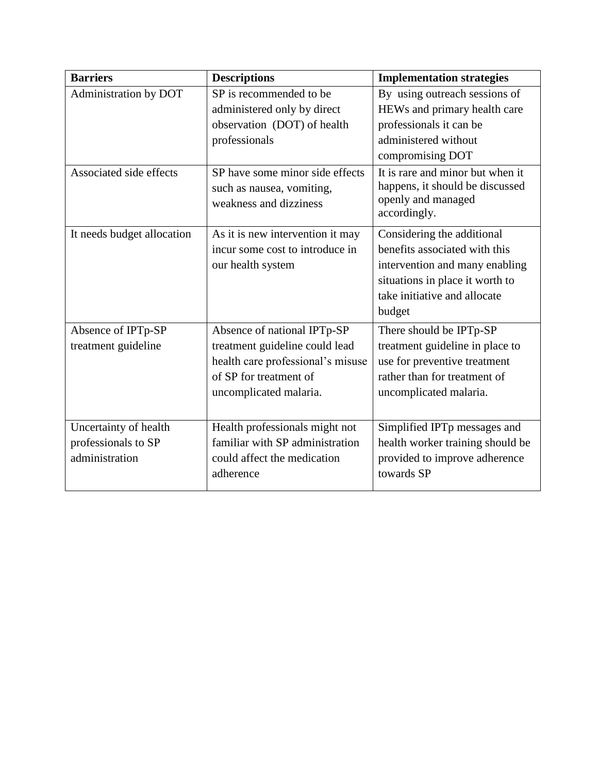| <b>Barriers</b>            | <b>Descriptions</b>               | <b>Implementation strategies</b> |
|----------------------------|-----------------------------------|----------------------------------|
| Administration by DOT      | SP is recommended to be           | By using outreach sessions of    |
|                            | administered only by direct       | HEWs and primary health care     |
|                            | observation (DOT) of health       | professionals it can be          |
|                            | professionals                     | administered without             |
|                            |                                   | compromising DOT                 |
| Associated side effects    | SP have some minor side effects   | It is rare and minor but when it |
|                            | such as nausea, vomiting,         | happens, it should be discussed  |
|                            | weakness and dizziness            | openly and managed               |
|                            |                                   | accordingly.                     |
| It needs budget allocation | As it is new intervention it may  | Considering the additional       |
|                            | incur some cost to introduce in   | benefits associated with this    |
|                            | our health system                 | intervention and many enabling   |
|                            |                                   | situations in place it worth to  |
|                            |                                   | take initiative and allocate     |
|                            |                                   | budget                           |
| Absence of IPTp-SP         | Absence of national IPTp-SP       | There should be IPTp-SP          |
| treatment guideline        | treatment guideline could lead    | treatment guideline in place to  |
|                            | health care professional's misuse | use for preventive treatment     |
|                            | of SP for treatment of            | rather than for treatment of     |
|                            | uncomplicated malaria.            | uncomplicated malaria.           |
|                            |                                   |                                  |
| Uncertainty of health      | Health professionals might not    | Simplified IPTp messages and     |
| professionals to SP        | familiar with SP administration   | health worker training should be |
| administration             | could affect the medication       | provided to improve adherence    |
|                            | adherence                         | towards SP                       |
|                            |                                   |                                  |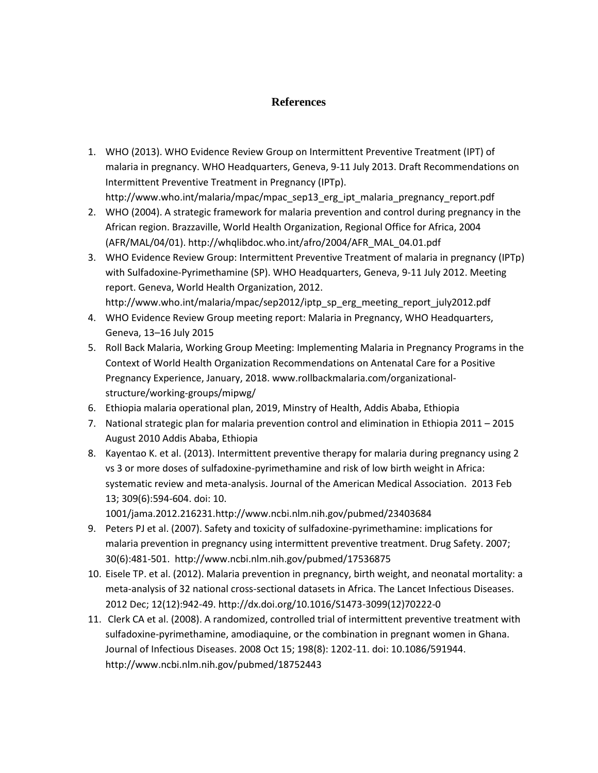# **References**

- 1. WHO (2013). WHO Evidence Review Group on Intermittent Preventive Treatment (IPT) of malaria in pregnancy. WHO Headquarters, Geneva, 9-11 July 2013. Draft Recommendations on Intermittent Preventive Treatment in Pregnancy (IPTp). http://www.who.int/malaria/mpac/mpac\_sep13\_erg\_ipt\_malaria\_pregnancy\_report.pdf
- 2. WHO (2004). A strategic framework for malaria prevention and control during pregnancy in the African region. Brazzaville, World Health Organization, Regional Office for Africa, 2004 (AFR/MAL/04/01). http://whqlibdoc.who.int/afro/2004/AFR\_MAL\_04.01.pdf
- 3. WHO Evidence Review Group: Intermittent Preventive Treatment of malaria in pregnancy (IPTp) with Sulfadoxine-Pyrimethamine (SP). WHO Headquarters, Geneva, 9-11 July 2012. Meeting report. Geneva, World Health Organization, 2012. http://www.who.int/malaria/mpac/sep2012/iptp\_sp\_erg\_meeting\_report\_july2012.pdf
- 4. WHO Evidence Review Group meeting report: Malaria in Pregnancy, WHO Headquarters, Geneva, 13–16 July 2015
- 5. Roll Back Malaria, Working Group Meeting: Implementing Malaria in Pregnancy Programs in the Context of World Health Organization Recommendations on Antenatal Care for a Positive Pregnancy Experience, January, 2018. www.rollbackmalaria.com/organizationalstructure/working-groups/mipwg/
- 6. Ethiopia malaria operational plan, 2019, Minstry of Health, Addis Ababa, Ethiopia
- 7. National strategic plan for malaria prevention control and elimination in Ethiopia 2011 2015 August 2010 Addis Ababa, Ethiopia
- 8. Kayentao K. et al. (2013). Intermittent preventive therapy for malaria during pregnancy using 2 vs 3 or more doses of sulfadoxine-pyrimethamine and risk of low birth weight in Africa: systematic review and meta-analysis. Journal of the American Medical Association. 2013 Feb 13; 309(6):594-604. doi: 10. 1001/jama.2012.216231.http://www.ncbi.nlm.nih.gov/pubmed/23403684
- 9. Peters PJ et al. (2007). Safety and toxicity of sulfadoxine-pyrimethamine: implications for malaria prevention in pregnancy using intermittent preventive treatment. Drug Safety. 2007; 30(6):481-501. http://www.ncbi.nlm.nih.gov/pubmed/17536875
- 10. Eisele TP. et al. (2012). Malaria prevention in pregnancy, birth weight, and neonatal mortality: a meta-analysis of 32 national cross-sectional datasets in Africa. The Lancet Infectious Diseases. 2012 Dec; 12(12):942-49. http://dx.doi.org/10.1016/S1473-3099(12)70222-0
- 11. Clerk CA et al. (2008). A randomized, controlled trial of intermittent preventive treatment with sulfadoxine-pyrimethamine, amodiaquine, or the combination in pregnant women in Ghana. Journal of Infectious Diseases. 2008 Oct 15; 198(8): 1202-11. doi: 10.1086/591944. http://www.ncbi.nlm.nih.gov/pubmed/18752443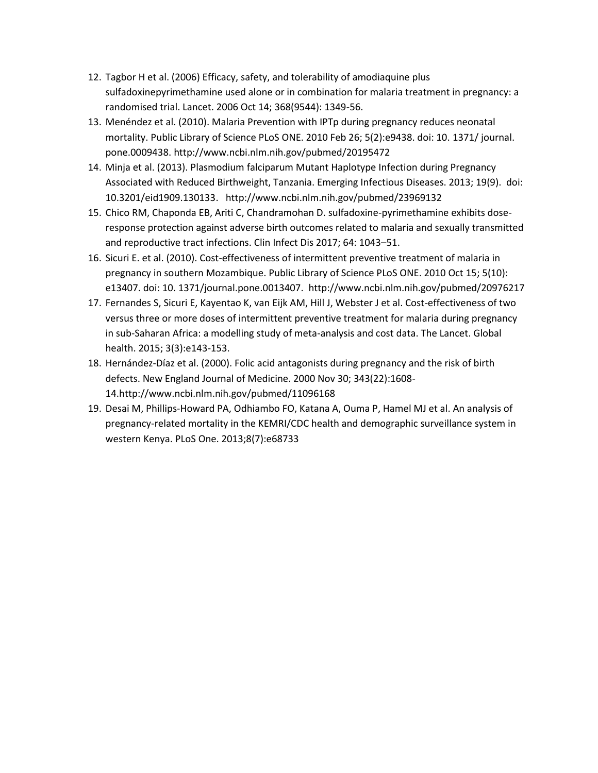- 12. Tagbor H et al. (2006) Efficacy, safety, and tolerability of amodiaquine plus sulfadoxinepyrimethamine used alone or in combination for malaria treatment in pregnancy: a randomised trial. Lancet. 2006 Oct 14; 368(9544): 1349-56.
- 13. Menéndez et al. (2010). Malaria Prevention with IPTp during pregnancy reduces neonatal mortality. Public Library of Science PLoS ONE. 2010 Feb 26; 5(2):e9438. doi: 10. 1371/ journal. pone.0009438. http://www.ncbi.nlm.nih.gov/pubmed/20195472
- 14. Minja et al. (2013). Plasmodium falciparum Mutant Haplotype Infection during Pregnancy Associated with Reduced Birthweight, Tanzania. Emerging Infectious Diseases. 2013; 19(9). doi: 10.3201/eid1909.130133. http://www.ncbi.nlm.nih.gov/pubmed/23969132
- 15. Chico RM, Chaponda EB, Ariti C, Chandramohan D. sulfadoxine-pyrimethamine exhibits doseresponse protection against adverse birth outcomes related to malaria and sexually transmitted and reproductive tract infections. Clin Infect Dis 2017; 64: 1043–51.
- 16. Sicuri E. et al. (2010). Cost-effectiveness of intermittent preventive treatment of malaria in pregnancy in southern Mozambique. Public Library of Science PLoS ONE. 2010 Oct 15; 5(10): e13407. doi: 10. 1371/journal.pone.0013407. http://www.ncbi.nlm.nih.gov/pubmed/20976217
- 17. Fernandes S, Sicuri E, Kayentao K, van Eijk AM, Hill J, Webster J et al. Cost-effectiveness of two versus three or more doses of intermittent preventive treatment for malaria during pregnancy in sub-Saharan Africa: a modelling study of meta-analysis and cost data. The Lancet. Global health. 2015; 3(3):e143-153.
- 18. Hernández-Díaz et al. (2000). Folic acid antagonists during pregnancy and the risk of birth defects. New England Journal of Medicine. 2000 Nov 30; 343(22):1608- 14.http://www.ncbi.nlm.nih.gov/pubmed/11096168
- 19. Desai M, Phillips-Howard PA, Odhiambo FO, Katana A, Ouma P, Hamel MJ et al. An analysis of pregnancy-related mortality in the KEMRI/CDC health and demographic surveillance system in western Kenya. PLoS One. 2013;8(7):e68733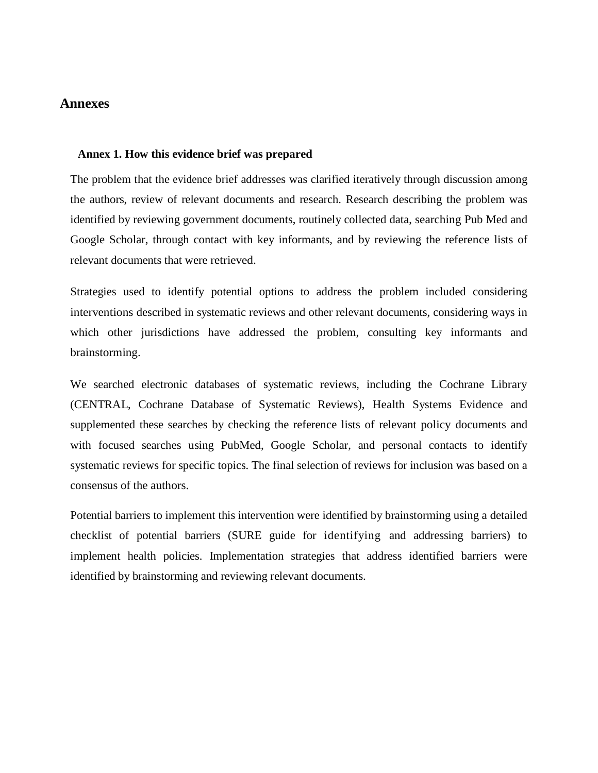### **Annexes**

#### **Annex 1. How this evidence brief was prepared**

The problem that the evidence brief addresses was clarified iteratively through discussion among the authors, review of relevant documents and research. Research describing the problem was identified by reviewing government documents, routinely collected data, searching Pub Med and Google Scholar, through contact with key informants, and by reviewing the reference lists of relevant documents that were retrieved.

Strategies used to identify potential options to address the problem included considering interventions described in systematic reviews and other relevant documents, considering ways in which other jurisdictions have addressed the problem, consulting key informants and brainstorming.

We searched electronic databases of systematic reviews, including the Cochrane Library (CENTRAL, Cochrane Database of Systematic Reviews), Health Systems Evidence and supplemented these searches by checking the reference lists of relevant policy documents and with focused searches using PubMed, Google Scholar, and personal contacts to identify systematic reviews for specific topics. The final selection of reviews for inclusion was based on a consensus of the authors.

Potential barriers to implement this intervention were identified by brainstorming using a detailed checklist of potential barriers (SURE guide for identifying and addressing barriers) to implement health policies. Implementation strategies that address identified barriers were identified by brainstorming and reviewing relevant documents.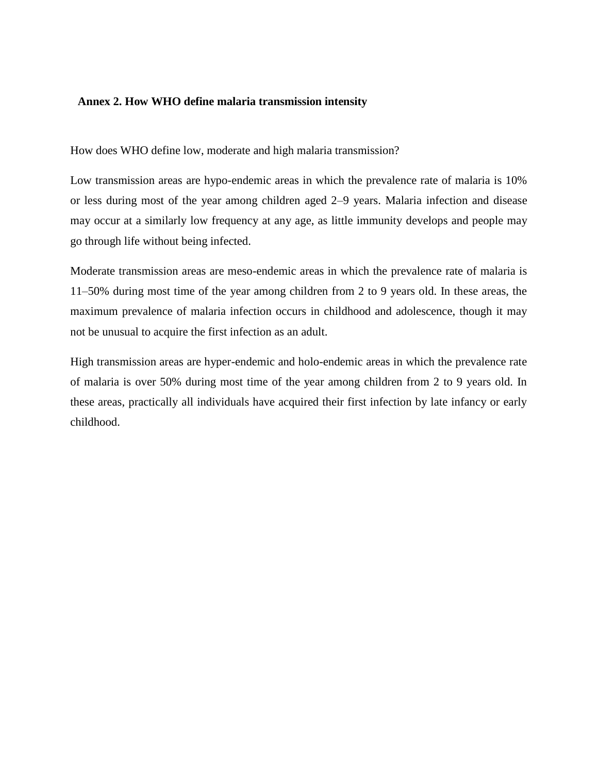#### **Annex 2. How WHO define malaria transmission intensity**

How does WHO define low, moderate and high malaria transmission?

Low transmission areas are hypo-endemic areas in which the prevalence rate of malaria is 10% or less during most of the year among children aged 2–9 years. Malaria infection and disease may occur at a similarly low frequency at any age, as little immunity develops and people may go through life without being infected.

Moderate transmission areas are meso-endemic areas in which the prevalence rate of malaria is 11–50% during most time of the year among children from 2 to 9 years old. In these areas, the maximum prevalence of malaria infection occurs in childhood and adolescence, though it may not be unusual to acquire the first infection as an adult.

High transmission areas are hyper-endemic and holo-endemic areas in which the prevalence rate of malaria is over 50% during most time of the year among children from 2 to 9 years old. In these areas, practically all individuals have acquired their first infection by late infancy or early childhood.